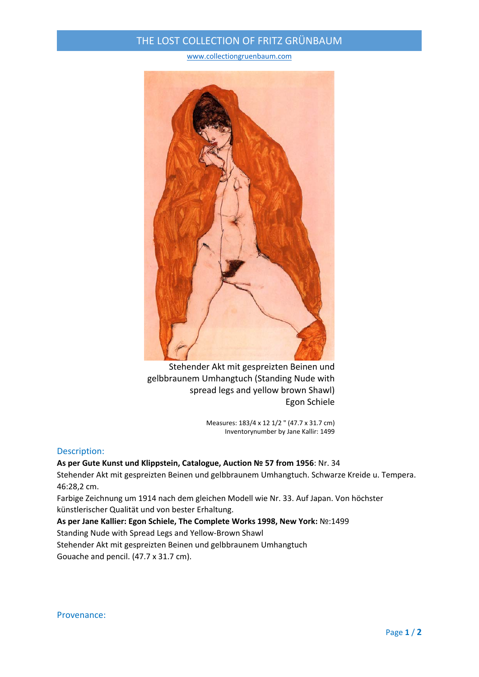## THE LOST COLLECTION OF FRITZ GRÜNBAUM

www.collectiongruenbaum.com



Stehender Akt mit gespreizten Beinen und gelbbraunem Umhangtuch (Standing Nude with spread legs and yellow brown Shawl) Egon Schiele

> Measures: 183/4 x 12 1/2 " (47.7 x 31.7 cm) Inventorynumber by Jane Kallir: 1499

## Description:

**As per Gute Kunst und Klippstein, Catalogue, Auction № 57 from 1956**: Nr. 34 Stehender Akt mit gespreizten Beinen und gelbbraunem Umhangtuch. Schwarze Kreide u. Tempera. 46:28,2 cm.

Farbige Zeichnung um 1914 nach dem gleichen Modell wie Nr. 33. Auf Japan. Von höchster künstlerischer Qualität und von bester Erhaltung.

**As per Jane Kallier: Egon Schiele, The Complete Works 1998, New York:** №:1499

Standing Nude with Spread Legs and Yellow‐Brown Shawl

Stehender Akt mit gespreizten Beinen und gelbbraunem Umhangtuch

Gouache and pencil. (47.7 x 31.7 cm).